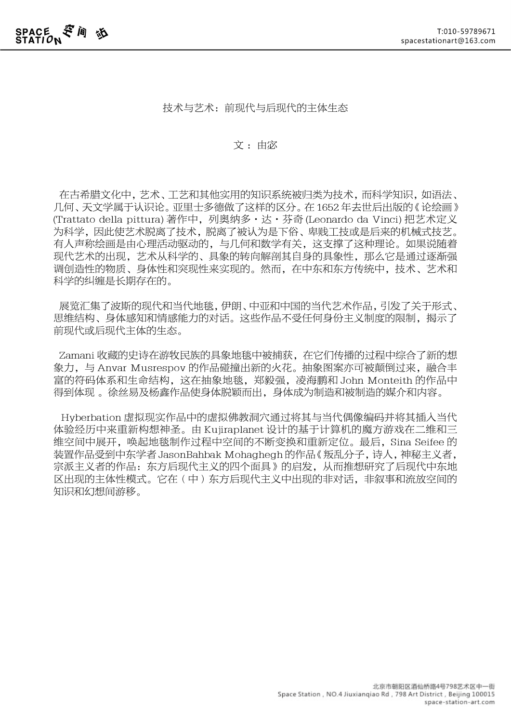## 技术与艺术:前现代与后现代的主体生态

## 文:由宓

 在古希腊文化中,艺术、工艺和其他实用的知识系统被归类为技术,而科学知识,如语法、 几何、天文学属于认识论。亚里士多德做了这样的区分。在 1652 年去世后出版的《论绘画》 (Trattato della pittura) 著作中, 列奥纳多·达·芬奇 (Leonardo da Vinci) 把艺术定义 为科学,因此使艺术脱离了技术,脱离了被认为是下俗、卑贱工技或是后来的机械式技艺。 有人声称绘画是由心理活动驱动的,与几何和数学有关,这支撑了这种理论。如果说随着 现代艺术的出现,艺术从科学的、具象的转向解剖其自身的具象性,那么它是通过逐渐强 调创造性的物质、身体性和突现性来实现的。然而,在中东和东方传统中,技术、艺术和 科学的纠缠是长期存在的。

 展览汇集了波斯的现代和当代地毯,伊朗、中亚和中国的当代艺术作品,引发了关于形式、 思维结构、身体感知和情感能力的对话。这些作品不受任何身份主义制度的限制,揭示了 前现代或后现代主体的生态。

 Zamani 收藏的史诗在游牧民族的具象地毯中被捕获,在它们传播的过程中综合了新的想 象力,与 Anvar Musrespov 的作品碰撞出新的火花。抽象图案亦可被颠倒过来,融合丰 富的符码体系和生命结构,这在抽象地毯,郑毅强,凌海鹏和 John Monteith 的作品中 得到体现 。徐丝易及杨鑫作品使身体脱颖而出,身体成为制造和被制造的媒介和内容。

 Hyberbation 虚拟现实作品中的虚拟佛教洞穴通过将其与当代偶像编码并将其插入当代 体验经历中来重新构想神圣。由 Kujiraplanet 设计的基于计算机的魔方游戏在二维和三 维空间中展开,唤起地毯制作过程中空间的不断变换和重新定位。最后,Sina Seifee 的 装置作品受到中东学者 JasonBahbak Mohaghegh 的作品《叛乱分子,诗人,神秘主义者, 宗派主义者的作品:东方后现代主义的四个面具》的启发,从而推想研究了后现代中东地 区出现的主体性模式。它在(中)东方后现代主义中出现的非对话,非叙事和流放空间的 知识和幻想间游移。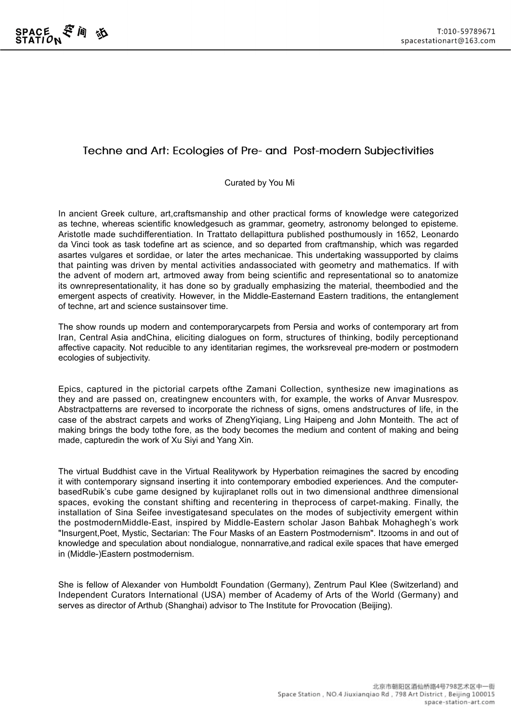## **Techne and Art: Ecologies of Pre- and Post-modern Subjectivities**

## Curated by You Mi

In ancient Greek culture, art,craftsmanship and other practical forms of knowledge were categorized as techne, whereas scientific knowledgesuch as grammar, geometry, astronomy belonged to episteme. Aristotle made suchdifferentiation. In Trattato dellapittura published posthumously in 1652, Leonardo da Vinci took as task todefine art as science, and so departed from craftmanship, which was regarded asartes vulgares et sordidae, or later the artes mechanicae. This undertaking wassupported by claims that painting was driven by mental activities andassociated with geometry and mathematics. If with the advent of modern art, artmoved away from being scientific and representational so to anatomize its ownrepresentationality, it has done so by gradually emphasizing the material, theembodied and the emergent aspects of creativity. However, in the Middle-Easternand Eastern traditions, the entanglement of techne, art and science sustainsover time.

The show rounds up modern and contemporarycarpets from Persia and works of contemporary art from Iran, Central Asia andChina, eliciting dialogues on form, structures of thinking, bodily perceptionand affective capacity. Not reducible to any identitarian regimes, the worksreveal pre-modern or postmodern ecologies of subjectivity.

Epics, captured in the pictorial carpets ofthe Zamani Collection, synthesize new imaginations as they and are passed on, creatingnew encounters with, for example, the works of Anvar Musrespov. Abstractpatterns are reversed to incorporate the richness of signs, omens andstructures of life, in the case of the abstract carpets and works of ZhengYiqiang, Ling Haipeng and John Monteith. The act of making brings the body tothe fore, as the body becomes the medium and content of making and being made, capturedin the work of Xu Siyi and Yang Xin.

The virtual Buddhist cave in the Virtual Realitywork by Hyperbation reimagines the sacred by encoding it with contemporary signsand inserting it into contemporary embodied experiences. And the computerbasedRubik's cube game designed by kujiraplanet rolls out in two dimensional andthree dimensional spaces, evoking the constant shifting and recentering in theprocess of carpet-making. Finally, the installation of Sina Seifee investigatesand speculates on the modes of subjectivity emergent within the postmodernMiddle-East, inspired by Middle-Eastern scholar Jason Bahbak Mohaghegh's work "Insurgent,Poet, Mystic, Sectarian: The Four Masks of an Eastern Postmodernism". Itzooms in and out of knowledge and speculation about nondialogue, nonnarrative,and radical exile spaces that have emerged in (Middle-)Eastern postmodernism.

She is fellow of Alexander von Humboldt Foundation (Germany), Zentrum Paul Klee (Switzerland) and Independent Curators International (USA) member of Academy of Arts of the World (Germany) and serves as director of Arthub (Shanghai) advisor to The Institute for Provocation (Beijing).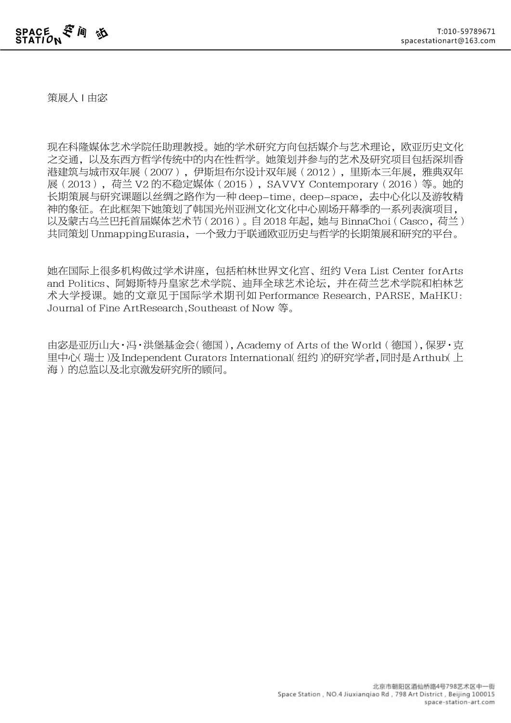策展人 | 由宓

现在科隆媒体艺术学院任助理教授。她的学术研究方向包括媒介与艺术理论,欧亚历史文化 之交通,以及东西方哲学传统中的内在性哲学。她策划并参与的艺术及研究项目包括深圳香 港建筑与城市双年展(2007),伊斯坦布尔设计双年展(2012),里斯本三年展,雅典双年 展(2013),荷兰 V2 的不稳定媒体(2015),SAVVY Contemporary(2016)等。她的 长期策展与研究课题以丝绸之路作为一种 deep-time, deep-space,去中心化以及游牧精 神的象征。在此框架下她策划了韩国光州亚洲文化文化中心剧场开幕季的一系列表演项目, 以及蒙古乌兰巴托首届媒体艺术节(2016)。自 2018 年起,她与 BinnaChoi (Casco,荷兰) 共同策划 UnmappingEurasia,一个致力于联通欧亚历史与哲学的长期策展和研究的平台。

她在国际上很多机构做过学术讲座,包括柏林世界文化宫、纽约 Vera List Center forArts and Politics、阿姆斯特丹皇家艺术学院、迪拜全球艺术论坛,并在荷兰艺术学院和柏林艺 术大学授课。她的文章见于国际学术期刊如 Performance Research, PARSE, MaHKU: Journal of Fine ArtResearch,Southeast of Now 等。

由宓是亚历山大·冯·洪堡基金会(德国),Academy of Arts of the World (德国),保罗·克 里中心(瑞士)及Independent Curators International(纽约)的研究学者,同时是Arthub(上 海)的总监以及北京激发研究所的顾问。